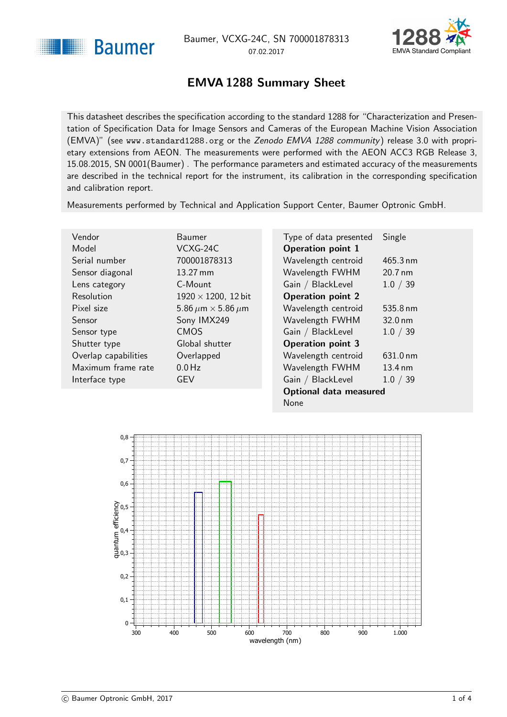<span id="page-0-1"></span>



### EMVA 1288 Summary Sheet

<span id="page-0-0"></span>This datasheet describes the specification according to the standard 1288 for "Characterization and Presentation of Specification Data for Image Sensors and Cameras of the European Machine Vision Association (EMVA)" (see <www.standard1288.org> or the [Zenodo EMVA 1288 community](http://www.zenodo.org/collection/user-emva1288) ) release 3.0 with proprietary extensions from AEON. The measurements were performed with the AEON ACC3 RGB Release 3, 15.08.2015, SN 0001(Baumer) . The performance parameters and estimated accuracy of the measurements are described in the technical report for the instrument, its calibration in the corresponding specification and calibration report.

Measurements performed by Technical and Application Support Center, Baumer Optronic GmbH.

. 12 bit

| Vendor               | Baumer                             |
|----------------------|------------------------------------|
| Model                | $VCXG-24C$                         |
| Serial number        | 700001878313                       |
| Sensor diagonal      | $13.27 \text{ mm}$                 |
| Lens category        | C-Mount                            |
| Resolution           | $1920 \times 1200$ , 12 bit        |
| Pixel size           | 5.86 $\mu$ m $\times$ 5.86 $\mu$ m |
| Sensor               | Sony IMX249                        |
| Sensor type          | <b>CMOS</b>                        |
| Shutter type         | Global shutter                     |
| Overlap capabilities | Overlapped                         |
| Maximum frame rate   | $0.0$ Hz                           |
| Interface type       | GEV                                |
|                      |                                    |

| Type of data presented   | Single            |  |
|--------------------------|-------------------|--|
| <b>Operation point 1</b> |                   |  |
| Wavelength centroid      | 465.3 nm          |  |
| Wavelength FWHM          | 20.7 nm           |  |
| Gain / BlackLevel        | 1.0 / 39          |  |
| <b>Operation point 2</b> |                   |  |
| Wavelength centroid      | 535.8 nm          |  |
| Wavelength FWHM          | $32.0 \text{ nm}$ |  |
| Gain / BlackLevel        | 1.0 / 39          |  |
| <b>Operation point 3</b> |                   |  |
| Wavelength centroid      | 631.0 nm          |  |
| Wavelength FWHM          | $13.4 \text{ nm}$ |  |
| Gain / BlackLevel        | 1.0 / 39          |  |
| Optional data measured   |                   |  |
| None                     |                   |  |

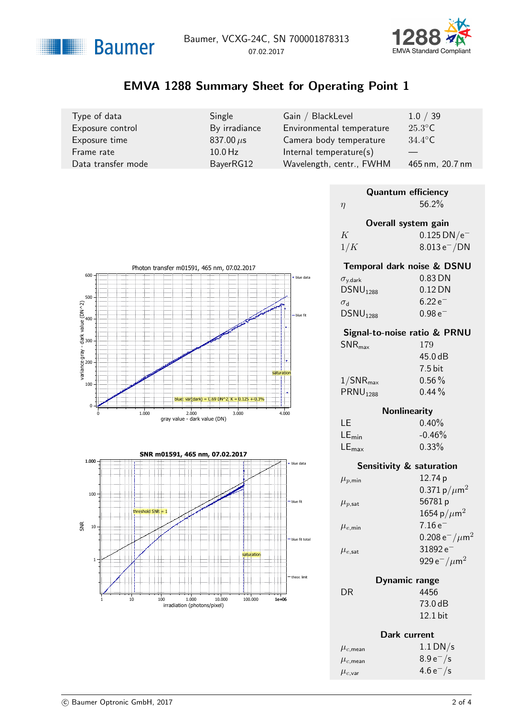



# EMVA 1288 Summary Sheet for Operating Point 1

| Type of data       | Single         | Gain / BlackLevel         | 1.0 / 39         |
|--------------------|----------------|---------------------------|------------------|
| Exposure control   | By irradiance  | Environmental temperature | $25.3^{\circ}$ C |
| Exposure time      | 837.00 $\mu$ s | Camera body temperature   | $34.4^{\circ}$ C |
| Frame rate         | $10.0$ Hz      | Internal temperature(s)   |                  |
| Data transfer mode | BayerRG12      | Wavelength, centr., FWHM  | 465 nm, 20.7 nm  |

| <b>Quantum efficiency</b> |                           |  |  |
|---------------------------|---------------------------|--|--|
| η                         | 56.2%                     |  |  |
| Overall system gain       |                           |  |  |
| K                         | $0.125$ DN/e <sup>-</sup> |  |  |
| 1/K                       | $8.013 e^- / DN$          |  |  |
|                           |                           |  |  |



#### Signal-to-noise ratio & PRNU

| $SNR_{\text{max}}$      | 179       |
|-------------------------|-----------|
|                         | 45.0dB    |
|                         | $7.5$ bit |
| $1/\mathsf{SNR}_{\max}$ | $0.56\%$  |
| PRNU <sub>1288</sub>    | $0.44\%$  |
|                         |           |

### **Nonlinearity**

| LE                | $0.40\%$  |
|-------------------|-----------|
| $LE_{min}$        | $-0.46\%$ |
| $LE_{\text{max}}$ | 0.33%     |

|                        | Sensitivity & saturation                  |
|------------------------|-------------------------------------------|
| $\mu_{p,\text{min}}$   | 12.74 p                                   |
|                        | 0.371 p/ $\mu$ m <sup>2</sup>             |
| $\mu_{p,\textsf{sat}}$ | 56781p                                    |
|                        | 1654 p/ $\mu$ m <sup>2</sup>              |
| $\mu_{e,\text{min}}$   | $7.16e^{-}$                               |
|                        | 0.208 $e^-/\mu$ m <sup>2</sup>            |
| $\mu_{e,\textsf{sat}}$ | $31892e^-$                                |
|                        | 929 e <sup>-</sup> / $\mu$ m <sup>2</sup> |
|                        |                                           |

| Dynamic range |            |
|---------------|------------|
|               | 4456       |
|               | 73.0 dB    |
|               | $12.1$ bit |

 $DR$ 

|                         | Dark current  |  |
|-------------------------|---------------|--|
| $\mu_{c,\mathsf{mean}}$ | $1.1$ DN/s    |  |
| $\mu_{c,\mathsf{mean}}$ | $8.9 e^- / s$ |  |
| $\mu_{c,\mathsf{var}}$  | $4.6 e^- / s$ |  |



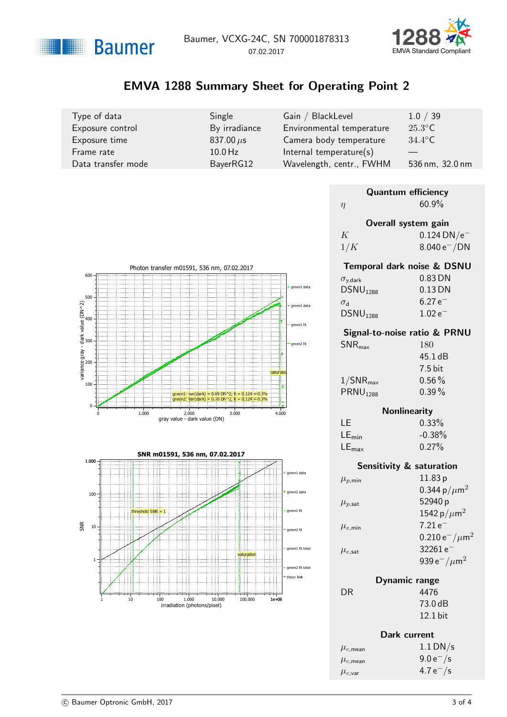



# EMVA 1288 Summary Sheet for Operating Point 2

| Type of data       | Single           | Gain / BlackLevel         | 1.0 / 39         |
|--------------------|------------------|---------------------------|------------------|
| Exposure control   | By irradiance    | Environmental temperature | $25.3^{\circ}$ C |
| Exposure time      | $837.00 \,\mu s$ | Camera body temperature   | $34.4^{\circ}$ C |
| Frame rate         | $10.0$ Hz        | Internal temperature(s)   |                  |
| Data transfer mode | BayerRG12        | Wavelength, centr., FWHM  | 536 nm, 32.0 nm  |

| <b>Quantum efficiency</b> |                           |  |  |
|---------------------------|---------------------------|--|--|
| $\eta$                    | 60.9%                     |  |  |
| Overall system gain       |                           |  |  |
| K                         | $0.124$ DN/e <sup>-</sup> |  |  |
| 1/K                       | $8.040 e^- / DN$          |  |  |
|                           |                           |  |  |



#### Signal-to-noise ratio & PRNU

| $SNR_{\text{max}}$      | 180               |
|-------------------------|-------------------|
|                         | $45.1 \text{ dB}$ |
|                         | $7.5$ bit         |
| $1/\mathsf{SNR}_{\max}$ | $0.56\%$          |
| PRNU <sub>1288</sub>    | $0.39\%$          |
|                         |                   |

### **Nonlinearity**

| TE.               | 0.33%    |
|-------------------|----------|
| $LE_{min}$        | $-0.38%$ |
| $LE_{\text{max}}$ | 0.27%    |

|                        | Sensitivity & saturation                         |
|------------------------|--------------------------------------------------|
| $\mu_{p,\text{min}}$   | 11.83p                                           |
|                        | 0.344 p/ $\mu$ m <sup>2</sup>                    |
| $\mu_{p,\textsf{sat}}$ | 52940 p                                          |
|                        | 1542 p/ $\mu$ m <sup>2</sup>                     |
| $\mu_{e,\text{min}}$   | $7.21e^{-}$                                      |
|                        | $0.210 e^- / \mu m^2$                            |
| $\mu_{e,\textsf{sat}}$ | $32261e^-$                                       |
|                        | 939 e <sup><math>-/\mu</math>m<sup>2</sup></sup> |
| l )vnan                |                                                  |

| Dynamic range |            |
|---------------|------------|
|               | 4476       |
|               | 73.0 dB    |
|               | $12.1$ bit |

 $DR$ 

|                         | Dark current  |
|-------------------------|---------------|
| $\mu_{c,\mathsf{mean}}$ | $1.1$ DN/s    |
| $\mu_{c,\mathsf{mean}}$ | $9.0 e^- / s$ |
| $\mu_{c,\mathsf{var}}$  | 4.7 $e^-$ /s  |